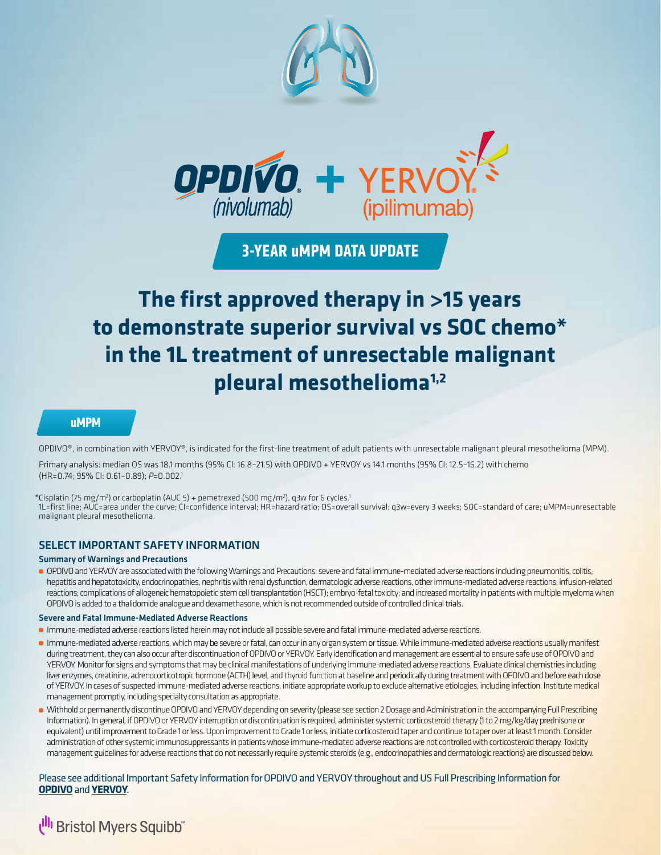

# **The first approved therapy in >15 years to demonstrate superior survival vs SOC chemo\* in the 1L treatment of unresectable malignant pleural mesothelioma1,2**

## **uMPM**

OPDIVO®, in combination with YERVOY®, is indicated for the first-line treatment of adult patients with unresectable malignant pleural mesothelioma (MPM).

Primary analysis: median OS was 18.1 months (95% CI: 16.8–21.5) with OPDIVO + YERVOY vs 14.1 months (95% CI: 12.5–16.2) with chemo (HR=0.74; 95% CI: 0.61–0.89); *P*=0.002.1

\*Cisplatin (75 mg/m<sup>2</sup>) or carboplatin (AUC 5) + pemetrexed (500 mg/m<sup>2</sup>), q3w for 6 cycles.<sup>1</sup> 1L=first line; AUC=area under the curve; CI=confidence interval; HR=hazard ratio; OS=overall survival; q3w=every 3 weeks; SOC=standard of care; uMPM=unresectable malignant pleural mesothelioma.

## SELECT IMPORTANT SAFETY INFORMATION

## Summary of Warnings and Precautions

OPDIVO and YERVOY are associated with the following Warnings and Precautions: severe and fatal immune-mediated adverse reactions including pneumonitis, colitis, hepatitis and hepatotoxicity, endocrinopathies, nephritis with renal dysfunction, dermatologic adverse reactions, other immune-mediated adverse reactions; infusion-related reactions; complications of allogeneic hematopoietic stem cell transplantation (HSCT); embryo-fetal toxicity; and increased mortality in patients with multiple myeloma when OPDIVO is added to a thalidomide analogue and dexamethasone, which is not recommended outside of controlled clinical trials.

## Severe and Fatal Immune-Mediated Adverse Reactions

- Immune-mediated adverse reactions listed herein may not include all possible severe and fatal immune-mediated adverse reactions.
- Immune-mediated adverse reactions, which may be severe or fatal, can occur in any organ system or tissue. While immune-mediated adverse reactions usually manifest during treatment, they can also occur after discontinuation of OPDIVO or YERVOY. Early identification and management are essential to ensure safe use of OPDIVO and YERVOY. Monitor for signs and symptoms that may be clinical manifestations of underlying immune-mediated adverse reactions. Evaluate clinical chemistries including liver enzymes, creatinine, adrenocorticotropic hormone (ACTH) level, and thyroid function at baseline and periodically during treatment with OPDIVO and before each dose of YERVOY. In cases of suspected immune-mediated adverse reactions, initiate appropriate workup to exclude alternative etiologies, including infection. Institute medical management promptly, including specialty consultation as appropriate.
- Withhold or permanently discontinue OPDIVO and YERVOY depending on severity (please see section 2 Dosage and Administration in the accompanying Full Prescribing Information). In general, if OPDIVO or YERVOY interruption or discontinuation is required, administer systemic corticosteroid therapy (1 to 2 mg/kg/day prednisone or equivalent) until improvement to Grade 1 or less. Upon improvement to Grade 1 or less, initiate corticosteroid taper and continue to taper over at least 1 month. Consider administration of other systemic immunosuppressants in patients whose immune-mediated adverse reactions are not controlled with corticosteroid therapy. Toxicity management guidelines for adverse reactions that do not necessarily require systemic steroids (e.g., endocrinopathies and dermatologic reactions) are discussed below.

## Please see additional Important Safety Information for OPDIVO and YERVOY throughout and US Full Prescribing Information for **[OPDIVO](https://packageinserts.bms.com/pi/pi_opdivo.pdf)** and **[YERVOY](https://packageinserts.bms.com/pi/pi_yervoy.pdf)**.

## Ull Bristol Myers Squibb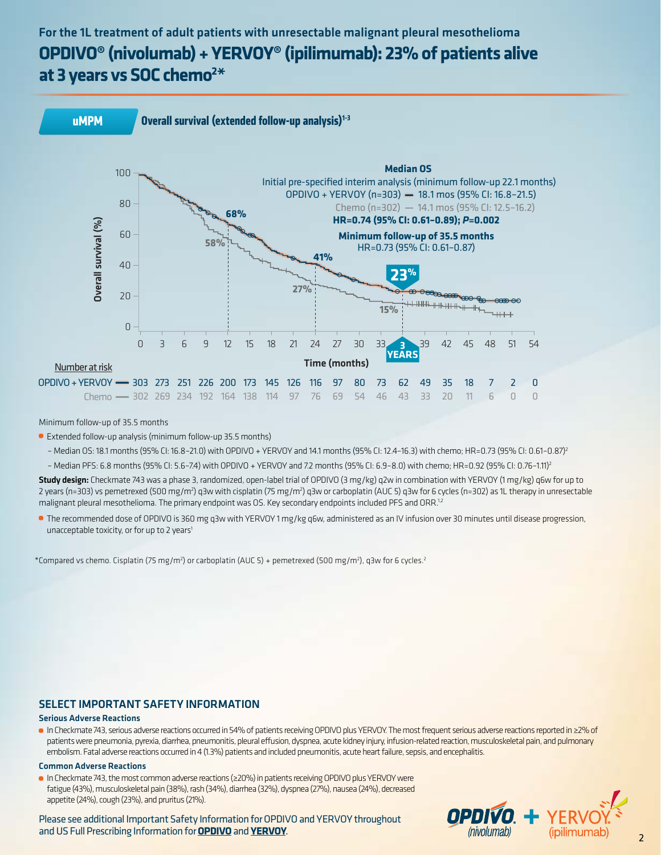## **OPDIVO® (nivolumab) + YERVOY® (ipilimumab): 23% of patients alive at 3 years vs SOC chemo2 \*** For the 1L treatment of adult patients with unresectable malignant pleural mesothelioma



Minimum follow-up of 35.5 months

Extended follow-up analysis (minimum follow-up 35.5 months)

- Median OS: 18.1 months (95% CI: 16.8–21.0) with OPDIVO + YERVOY and 14.1 months (95% CI: 12.4–16.3) with chemo; HR=0.73 (95% CI: 0.61–0.87)2
- Median PFS: 6.8 months (95% CI: 5.6–7.4) with OPDIVO + YERVOY and 7.2 months (95% CI: 6.9–8.0) with chemo; HR=0.92 (95% CI: 0.76–1.11)2

Study design: Checkmate 743 was a phase 3, randomized, open-label trial of OPDIVO (3 mg/kg) q2w in combination with YERVOY (1 mg/kg) q6w for up to 2 years (n=303) vs pemetrexed (500 mg/m²) q3w with cisplatin (75 mg/m²) q3w or carboplatin (AUC 5) q3w for 6 cycles (n=302) as 1L therapy in unresectable malignant pleural mesothelioma. The primary endpoint was OS. Key secondary endpoints included PFS and ORR.<sup>1,2</sup>

The recommended dose of OPDIVO is 360 mg q3w with YERVOY 1 mg/kg q6w, administered as an IV infusion over 30 minutes until disease progression, unacceptable toxicity, or for up to 2 years<sup>1</sup>

\*Compared vs chemo. Cisplatin (75 mg/m2 ) or carboplatin (AUC 5) + pemetrexed (500 mg/m2 ), q3w for 6 cycles.2

## SELECT IMPORTANT SAFETY INFORMATION

## Serious Adverse Reactions

■ In Checkmate 743, serious adverse reactions occurred in 54% of patients receiving OPDIVO plus YERVOY. The most frequent serious adverse reactions reported in ≥2% of patients were pneumonia, pyrexia, diarrhea, pneumonitis, pleural effusion, dyspnea, acute kidney injury, infusion-related reaction, musculoskeletal pain, and pulmonary embolism. Fatal adverse reactions occurred in 4 (1.3%) patients and included pneumonitis, acute heart failure, sepsis, and encephalitis.

## Common Adverse Reactions

In Checkmate 743, the most common adverse reactions (≥20%) in patients receiving OPDIVO plus YERVOY were fatigue (43%), musculoskeletal pain (38%), rash (34%), diarrhea (32%), dyspnea (27%), nausea (24%), decreased appetite (24%), cough (23%), and pruritus (21%).

Please see additional Important Safety Information for OPDIVO and YERVOY throughout and US Full Prescribing Information for **[OPDIVO](https://packageinserts.bms.com/pi/pi_opdivo.pdf)** and **[YERVOY](https://packageinserts.bms.com/pi/pi_yervoy.pdf)**.

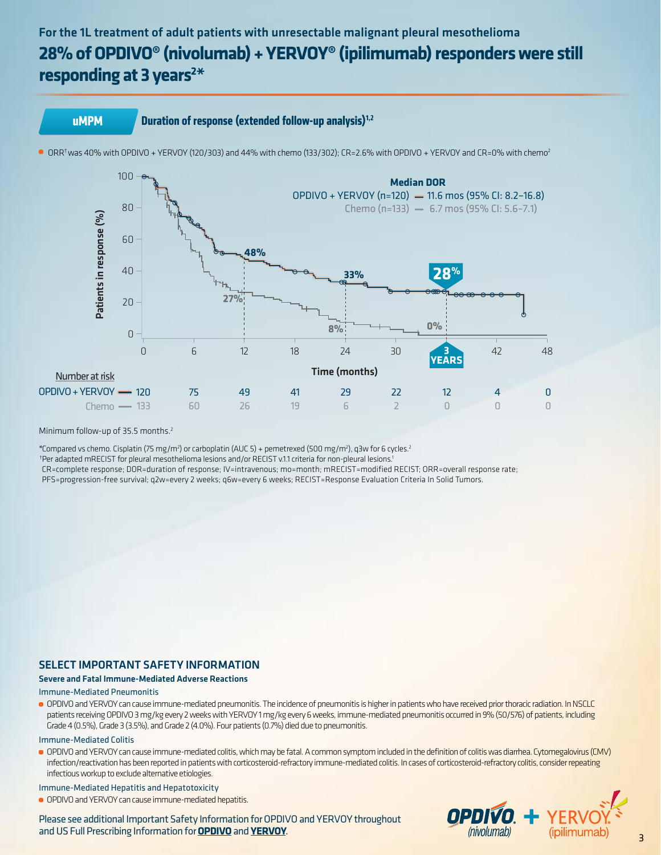## For the 1L treatment of adult patients with unresectable malignant pleural mesothelioma **28% of OPDIVO® (nivolumab) + YERVOY® (ipilimumab) responders were still**  responding at 3 years<sup>2\*</sup>

## **Duration of response (extended follow-up analysis)**<sup>1,2</sup>

ORR† was 40% with OPDIVO + YERVOY (120/303) and 44% with chemo (133/302); CR=2.6% with OPDIVO + YERVOY and CR=0% with chemo2



## Minimum follow-up of 35.5 months.<sup>2</sup>

**uMPM**

\*Compared vs chemo. Cisplatin (75 mg/m2 ) or carboplatin (AUC 5) + pemetrexed (500 mg/m2 ), q3w for 6 cycles.2

† Per adapted mRECIST for pleural mesothelioma lesions and/or RECIST v.1.1 criteria for non-pleural lesions.1

CR=complete response; DOR=duration of response; IV=intravenous; mo=month; mRECIST=modified RECIST; ORR=overall response rate; PFS=progression-free survival; q2w=every 2 weeks; q6w=every 6 weeks; RECIST=Response Evaluation Criteria In Solid Tumors.

## SELECT IMPORTANT SAFETY INFORMATION

#### Severe and Fatal Immune-Mediated Adverse Reactions

Immune-Mediated Pneumonitis

OPDIVO and YERVOY can cause immune-mediated pneumonitis. The incidence of pneumonitis is higher in patients who have received prior thoracic radiation. In NSCLC patients receiving OPDIVO 3 mg/kg every 2 weeks with YERVOY 1 mg/kg every 6 weeks, immune-mediated pneumonitis occurred in 9% (50/576) of patients, including Grade 4 (0.5%), Grade 3 (3.5%), and Grade 2 (4.0%). Four patients (0.7%) died due to pneumonitis.

#### Immune-Mediated Colitis

- OPDIVO and YERVOY can cause immune-mediated colitis, which may be fatal. A common symptom included in the definition of colitis was diarrhea. Cytomegalovirus (CMV) infection/reactivation has been reported in patients with corticosteroid-refractory immune-mediated colitis. In cases of corticosteroid-refractory colitis, consider repeating infectious workup to exclude alternative etiologies.
- Immune-Mediated Hepatitis and Hepatotoxicity
- **OPDIVO and YERVOY can cause immune-mediated hepatitis.**

Please see additional Important Safety Information for OPDIVO and YERVOY throughout and US Full Prescribing Information for **[OPDIVO](https://packageinserts.bms.com/pi/pi_opdivo.pdf)** and **[YERVOY](https://packageinserts.bms.com/pi/pi_yervoy.pdf)**.

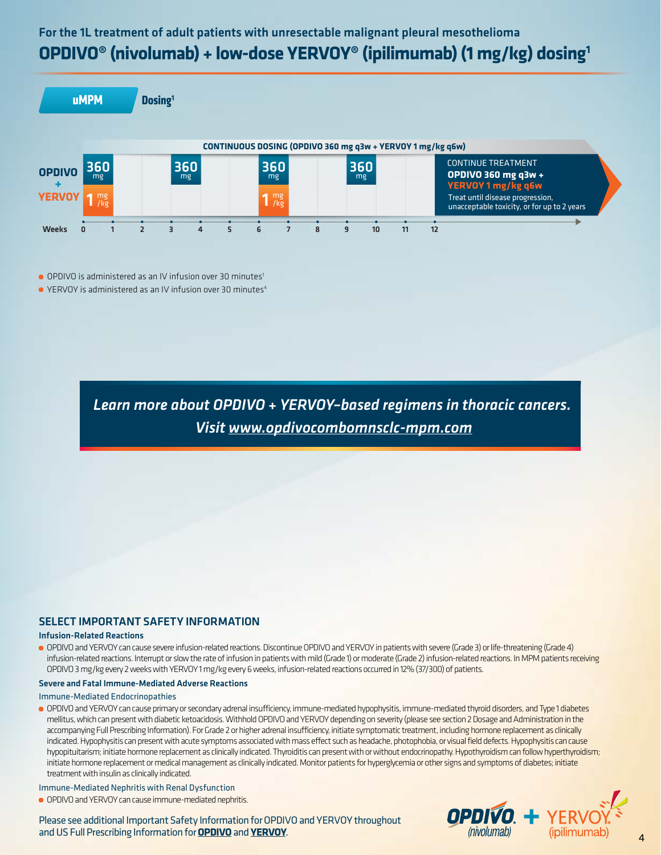## For the 1L treatment of adult patients with unresectable malignant pleural mesothelioma **OPDIVO® (nivolumab) + low-dose YERVOY® (ipilimumab) (1 mg/kg) dosing1**



OPDIVO is administered as an IV infusion over 30 minutes<sup>1</sup>

**P** YERVOY is administered as an IV infusion over 30 minutes<sup>4</sup>

*Learn more about OPDIVO + YERVOY–based regimens in thoracic cancers. Visit www.opdivocombomnsclc-mpm.com*

## SELECT IMPORTANT SAFETY INFORMATION

## Infusion-Related Reactions

OPDIVO and YERVOY can cause severe infusion-related reactions. Discontinue OPDIVO and YERVOY in patients with severe (Grade 3) or life-threatening (Grade 4) infusion-related reactions. Interrupt or slow the rate of infusion in patients with mild (Grade 1) or moderate (Grade 2) infusion-related reactions. In MPM patients receiving OPDIVO 3 mg/kg every 2 weeks with YERVOY 1 mg/kg every 6 weeks, infusion-related reactions occurred in 12% (37/300) of patients.

## Severe and Fatal Immune-Mediated Adverse Reactions

## Immune-Mediated Endocrinopathies

OPDIVO and YERVOY can cause primary or secondary adrenal insufficiency, immune-mediated hypophysitis, immune-mediated thyroid disorders, and Type 1 diabetes mellitus, which can present with diabetic ketoacidosis. Withhold OPDIVO and YERVOY depending on severity (please see section 2 Dosage and Administration in the accompanying Full Prescribing Information). For Grade 2 or higher adrenal insufficiency, initiate symptomatic treatment, including hormone replacement as clinically indicated. Hypophysitis can present with acute symptoms associated with mass effect such as headache, photophobia, or visual field defects. Hypophysitis can cause hypopituitarism; initiate hormone replacement as clinically indicated. Thyroiditis can present with or without endocrinopathy. Hypothyroidism can follow hyperthyroidism; initiate hormone replacement or medical management as clinically indicated. Monitor patients for hyperglycemia or other signs and symptoms of diabetes; initiate treatment with insulin as clinically indicated.

### Immune-Mediated Nephritis with Renal Dysfunction

**• OPDIVO and YERVOY can cause immune-mediated nephritis.** 

Please see additional Important Safety Information for OPDIVO and YERVOY throughout and US Full Prescribing Information for **[OPDIVO](https://packageinserts.bms.com/pi/pi_opdivo.pdf)** and **[YERVOY](https://packageinserts.bms.com/pi/pi_yervoy.pdf)**.